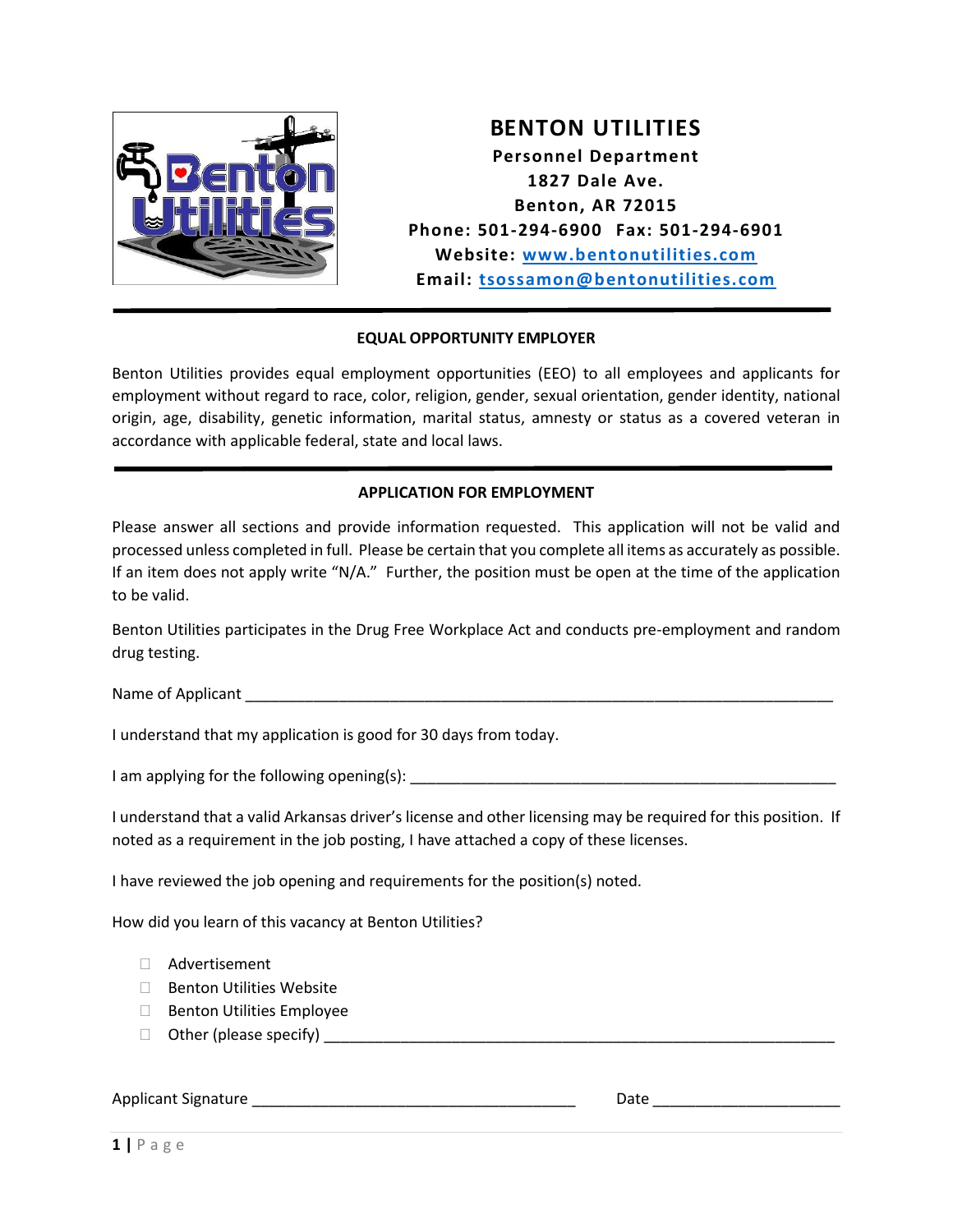

**BENTON UTILITIES Personnel Department 1827 Dale Ave. Benton, AR 72015 Phone: 501-294-6900 Fax: 501-294-6901 Website: [www.bentonutilities.com](http://www.bentonutilities.com/) Email: [tsossamon@bentonutilities.com](mailto:tsossamon@bentonutilities.com)**

# **EQUAL OPPORTUNITY EMPLOYER**

Benton Utilities provides equal employment opportunities (EEO) to all employees and applicants for employment without regard to race, color, religion, gender, sexual orientation, gender identity, national origin, age, disability, genetic information, marital status, amnesty or status as a covered veteran in accordance with applicable federal, state and local laws.

#### **APPLICATION FOR EMPLOYMENT**

Please answer all sections and provide information requested. This application will not be valid and processed unless completed in full. Please be certain that you complete all items as accurately as possible. If an item does not apply write "N/A." Further, the position must be open at the time of the application to be valid.

Benton Utilities participates in the Drug Free Workplace Act and conducts pre-employment and random drug testing.

Name of Applicant  $\blacksquare$ 

I understand that my application is good for 30 days from today.

I am applying for the following opening(s): \_\_\_\_\_\_\_\_\_\_\_\_\_\_\_\_\_\_\_\_\_\_\_\_\_\_\_\_\_\_\_\_\_\_\_\_\_\_\_\_\_\_\_\_\_\_\_\_\_\_

I understand that a valid Arkansas driver's license and other licensing may be required for this position. If noted as a requirement in the job posting, I have attached a copy of these licenses.

I have reviewed the job opening and requirements for the position(s) noted.

How did you learn of this vacancy at Benton Utilities?

- Advertisement
- □ Benton Utilities Website
- $\Box$  Benton Utilities Employee
- Other (please specify) \_\_\_\_\_\_\_\_\_\_\_\_\_\_\_\_\_\_\_\_\_\_\_\_\_\_\_\_\_\_\_\_\_\_\_\_\_\_\_\_\_\_\_\_\_\_\_\_\_\_\_\_\_\_\_\_\_\_\_\_

#### Applicant Signature **Exercise 2** and the set of the set of the set of the set of the set of the set of the set of the set of the set of the set of the set of the set of the set of the set of the set of the set of the set o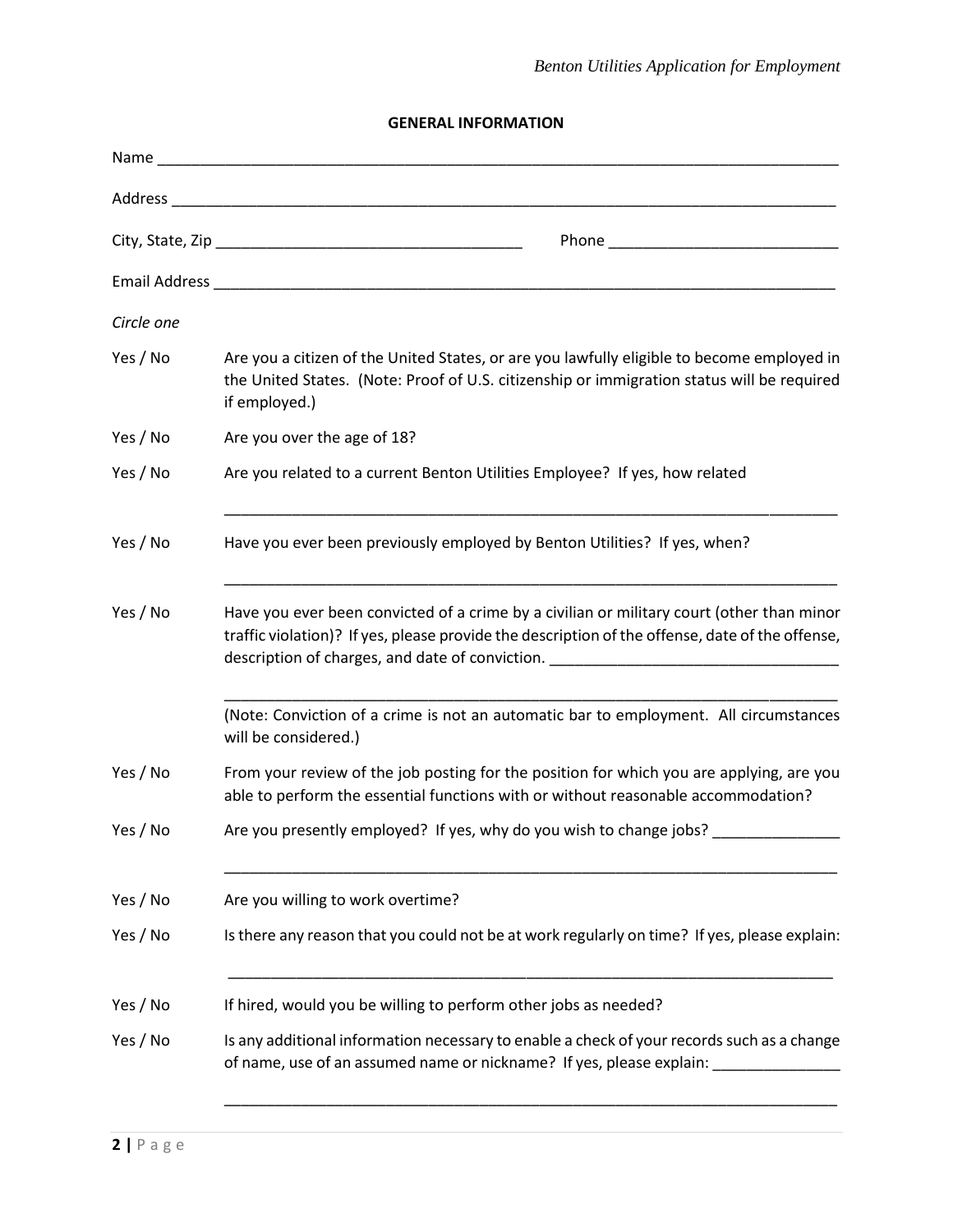**GENERAL INFORMATION**

| Circle one |                                                                                                                                                                                                                                                                                  |
|------------|----------------------------------------------------------------------------------------------------------------------------------------------------------------------------------------------------------------------------------------------------------------------------------|
| Yes / No   | Are you a citizen of the United States, or are you lawfully eligible to become employed in<br>the United States. (Note: Proof of U.S. citizenship or immigration status will be required<br>if employed.)                                                                        |
| Yes / No   | Are you over the age of 18?                                                                                                                                                                                                                                                      |
| Yes / No   | Are you related to a current Benton Utilities Employee? If yes, how related                                                                                                                                                                                                      |
| Yes / No   | Have you ever been previously employed by Benton Utilities? If yes, when?                                                                                                                                                                                                        |
| Yes / No   | Have you ever been convicted of a crime by a civilian or military court (other than minor<br>traffic violation)? If yes, please provide the description of the offense, date of the offense,<br>description of charges, and date of conviction. ________________________________ |
|            | (Note: Conviction of a crime is not an automatic bar to employment. All circumstances<br>will be considered.)                                                                                                                                                                    |
| Yes / No   | From your review of the job posting for the position for which you are applying, are you<br>able to perform the essential functions with or without reasonable accommodation?                                                                                                    |
| Yes / No   | Are you presently employed? If yes, why do you wish to change jobs?                                                                                                                                                                                                              |
| Yes / No   | Are you willing to work overtime?                                                                                                                                                                                                                                                |
| Yes / No   | Is there any reason that you could not be at work regularly on time? If yes, please explain:                                                                                                                                                                                     |
| Yes / No   | If hired, would you be willing to perform other jobs as needed?                                                                                                                                                                                                                  |
| Yes / No   | Is any additional information necessary to enable a check of your records such as a change<br>of name, use of an assumed name or nickname? If yes, please explain: __________                                                                                                    |

\_\_\_\_\_\_\_\_\_\_\_\_\_\_\_\_\_\_\_\_\_\_\_\_\_\_\_\_\_\_\_\_\_\_\_\_\_\_\_\_\_\_\_\_\_\_\_\_\_\_\_\_\_\_\_\_\_\_\_\_\_\_\_\_\_\_\_\_\_\_\_\_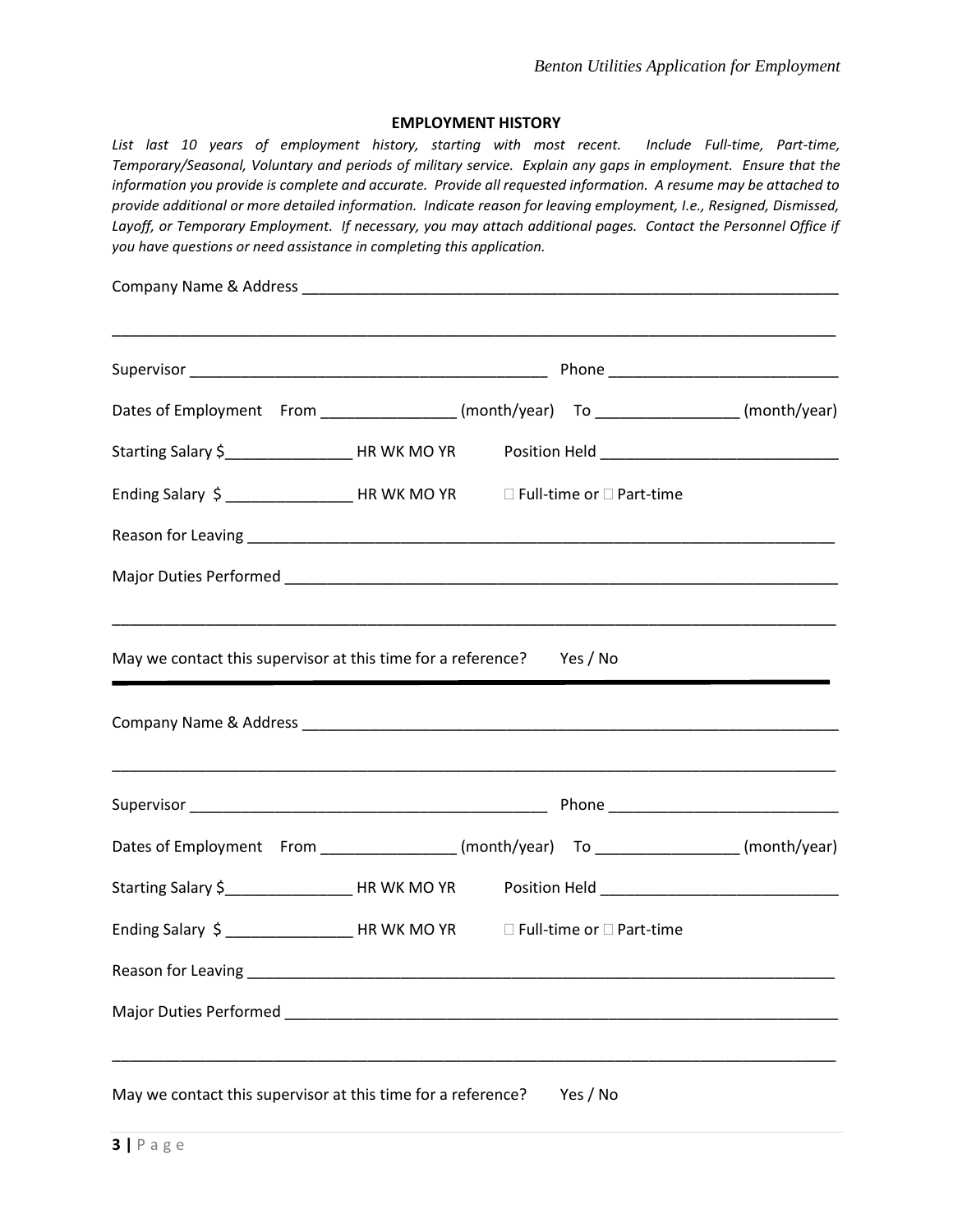#### **EMPLOYMENT HISTORY**

*List last 10 years of employment history, starting with most recent. Include Full-time, Part-time, Temporary/Seasonal, Voluntary and periods of military service. Explain any gaps in employment. Ensure that the information you provide is complete and accurate. Provide all requested information. A resume may be attached to provide additional or more detailed information. Indicate reason for leaving employment, I.e., Resigned, Dismissed, Layoff, or Temporary Employment. If necessary, you may attach additional pages. Contact the Personnel Office if you have questions or need assistance in completing this application.*

|                                                                                                                     | Dates of Employment From _________________(month/year) To ________________(month/year)               |  |  |  |
|---------------------------------------------------------------------------------------------------------------------|------------------------------------------------------------------------------------------------------|--|--|--|
|                                                                                                                     | Starting Salary \$______________________HR WK MO YR Position Held __________________________________ |  |  |  |
| Ending Salary \$ ______________________HR WK MO YR DFull-time or □ Part-time                                        |                                                                                                      |  |  |  |
|                                                                                                                     |                                                                                                      |  |  |  |
|                                                                                                                     |                                                                                                      |  |  |  |
| May we contact this supervisor at this time for a reference? Yes / No                                               |                                                                                                      |  |  |  |
|                                                                                                                     |                                                                                                      |  |  |  |
|                                                                                                                     |                                                                                                      |  |  |  |
|                                                                                                                     | Dates of Employment From _________________(month/year) To ________________(month/year)               |  |  |  |
|                                                                                                                     | Starting Salary \$______________________HR WK MO YR Position Held __________________________________ |  |  |  |
| Ending Salary \$ _____________________HR WK MO YR DFull-time or □ Part-time                                         |                                                                                                      |  |  |  |
| Reason for Leaving                                                                                                  |                                                                                                      |  |  |  |
| Major Duties Performed Major Communication of the Communication of the Communication of the Communication of the Co |                                                                                                      |  |  |  |
|                                                                                                                     |                                                                                                      |  |  |  |
| May we contact this supervisor at this time for a reference?                                                        | Yes / No                                                                                             |  |  |  |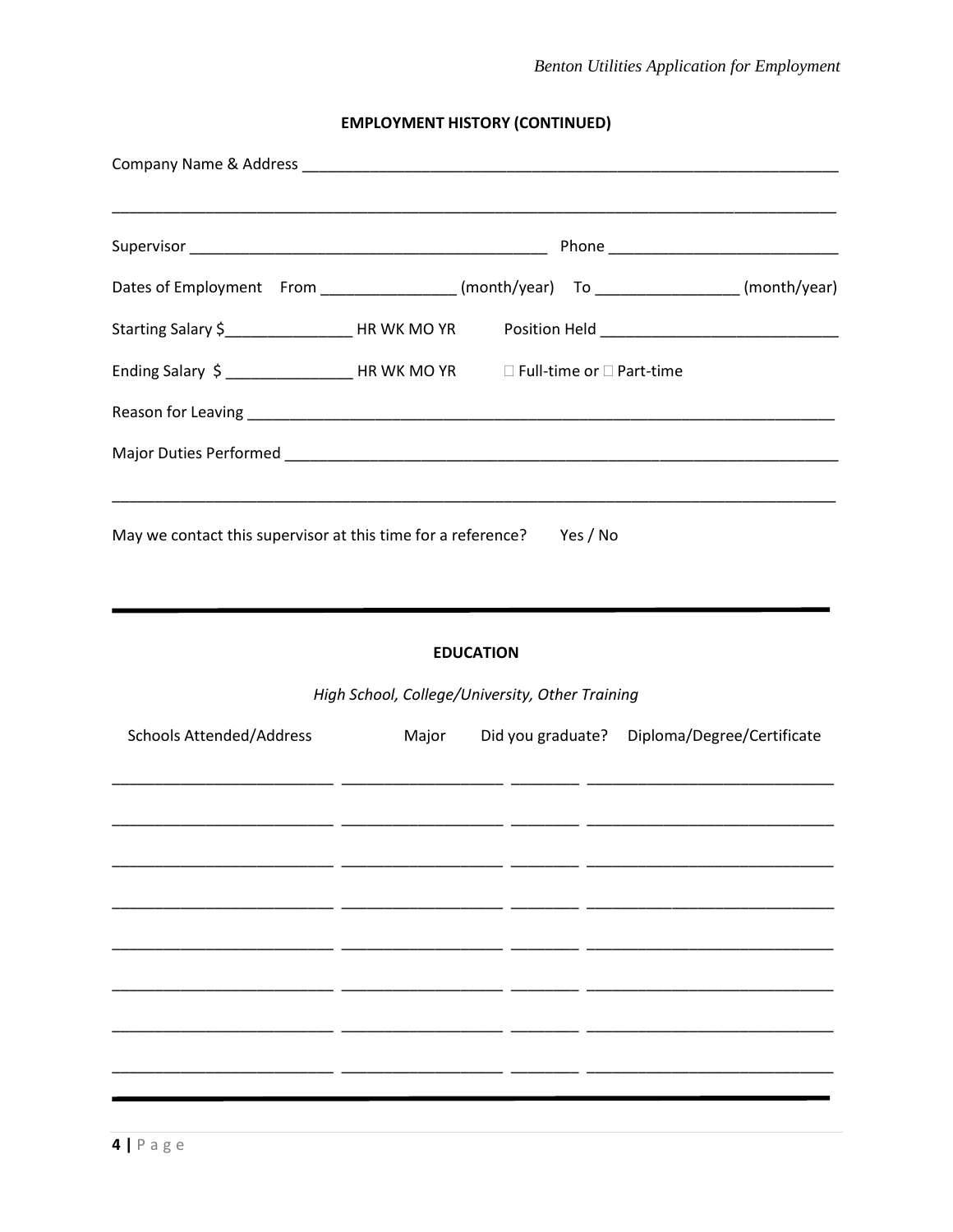# **EMPLOYMENT HISTORY (CONTINUED)**

|                                                                                                      |                                                 | <u> 1999 - Johann Harry Barn, mars and deutscher Schwarzer und der Barn and der Barn and der Barn and der Barn an</u> |  |                                              |  |
|------------------------------------------------------------------------------------------------------|-------------------------------------------------|-----------------------------------------------------------------------------------------------------------------------|--|----------------------------------------------|--|
| Dates of Employment From _________________(month/year) To ________________(month/year)               |                                                 |                                                                                                                       |  |                                              |  |
| Starting Salary \$________________________HR WK MO YR Position Held ________________________________ |                                                 |                                                                                                                       |  |                                              |  |
| Ending Salary \$ _____________________HR WK MO YR DFull-time or □ Part-time                          |                                                 |                                                                                                                       |  |                                              |  |
|                                                                                                      |                                                 |                                                                                                                       |  |                                              |  |
|                                                                                                      |                                                 |                                                                                                                       |  |                                              |  |
| May we contact this supervisor at this time for a reference? Yes / No                                |                                                 |                                                                                                                       |  |                                              |  |
|                                                                                                      | High School, College/University, Other Training | <b>EDUCATION</b>                                                                                                      |  |                                              |  |
| <b>Schools Attended/Address</b>                                                                      | Major                                           |                                                                                                                       |  | Did you graduate? Diploma/Degree/Certificate |  |
|                                                                                                      |                                                 |                                                                                                                       |  |                                              |  |
|                                                                                                      |                                                 |                                                                                                                       |  |                                              |  |
|                                                                                                      |                                                 |                                                                                                                       |  |                                              |  |
|                                                                                                      |                                                 |                                                                                                                       |  |                                              |  |
|                                                                                                      |                                                 |                                                                                                                       |  |                                              |  |
|                                                                                                      |                                                 |                                                                                                                       |  |                                              |  |
|                                                                                                      |                                                 |                                                                                                                       |  |                                              |  |
|                                                                                                      |                                                 |                                                                                                                       |  |                                              |  |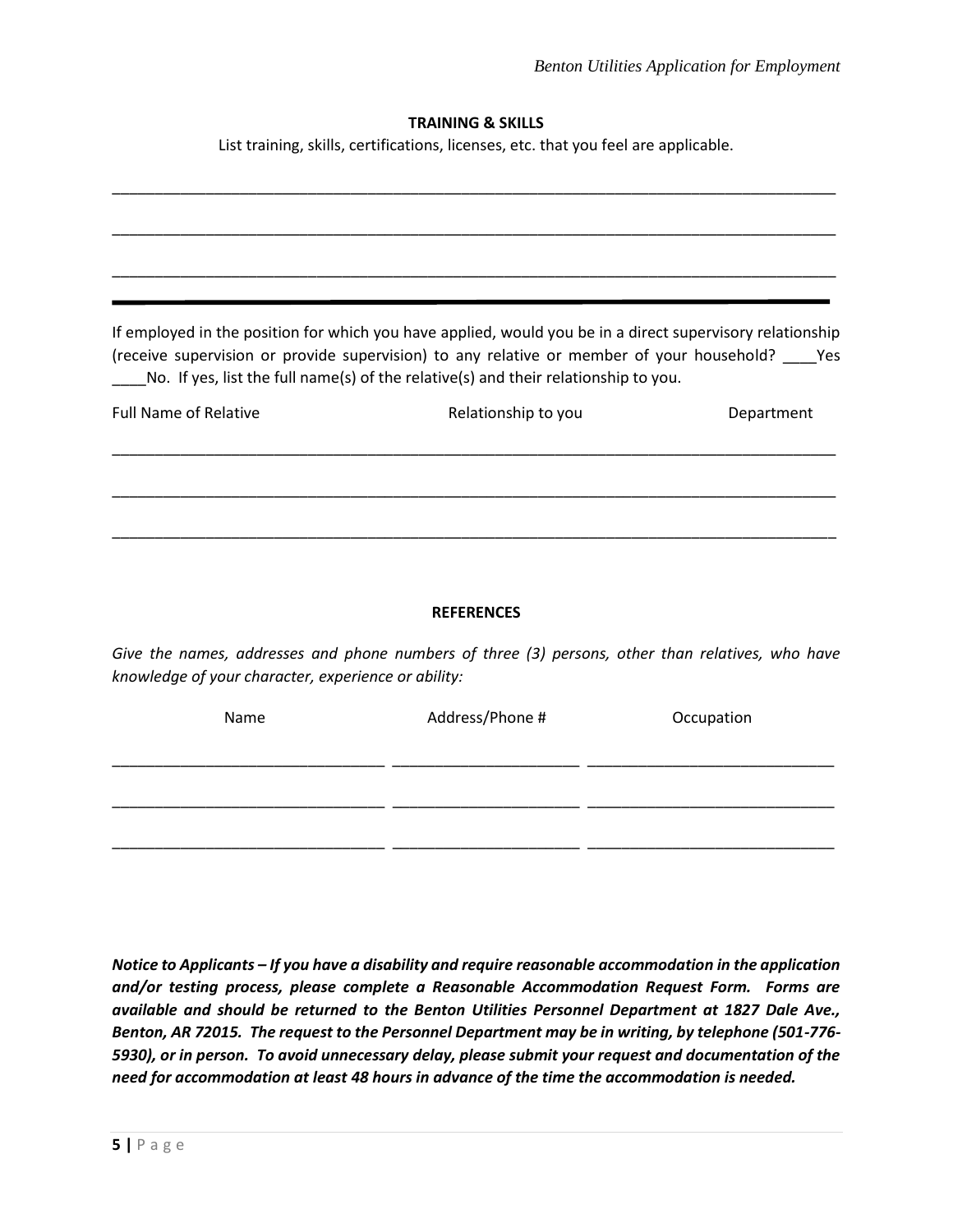# **TRAINING & SKILLS**

List training, skills, certifications, licenses, etc. that you feel are applicable.

|                              | If employed in the position for which you have applied, would you be in a direct supervisory relationship<br>(receive supervision or provide supervision) to any relative or member of your household? _____ Yes |            |
|------------------------------|------------------------------------------------------------------------------------------------------------------------------------------------------------------------------------------------------------------|------------|
| <b>Full Name of Relative</b> | No. If yes, list the full name(s) of the relative(s) and their relationship to you.<br>Relationship to you                                                                                                       | Department |
|                              |                                                                                                                                                                                                                  |            |
|                              |                                                                                                                                                                                                                  |            |
|                              | <b>REFERENCES</b>                                                                                                                                                                                                |            |

*Give the names, addresses and phone numbers of three (3) persons, other than relatives, who have knowledge of your character, experience or ability:*

| Name | Address/Phone # | Occupation |  |
|------|-----------------|------------|--|
|      |                 |            |  |
|      |                 |            |  |
|      |                 |            |  |

*Notice to Applicants – If you have a disability and require reasonable accommodation in the application and/or testing process, please complete a Reasonable Accommodation Request Form. Forms are available and should be returned to the Benton Utilities Personnel Department at 1827 Dale Ave., Benton, AR 72015. The request to the Personnel Department may be in writing, by telephone (501-776- 5930), or in person. To avoid unnecessary delay, please submit your request and documentation of the need for accommodation at least 48 hours in advance of the time the accommodation is needed.*